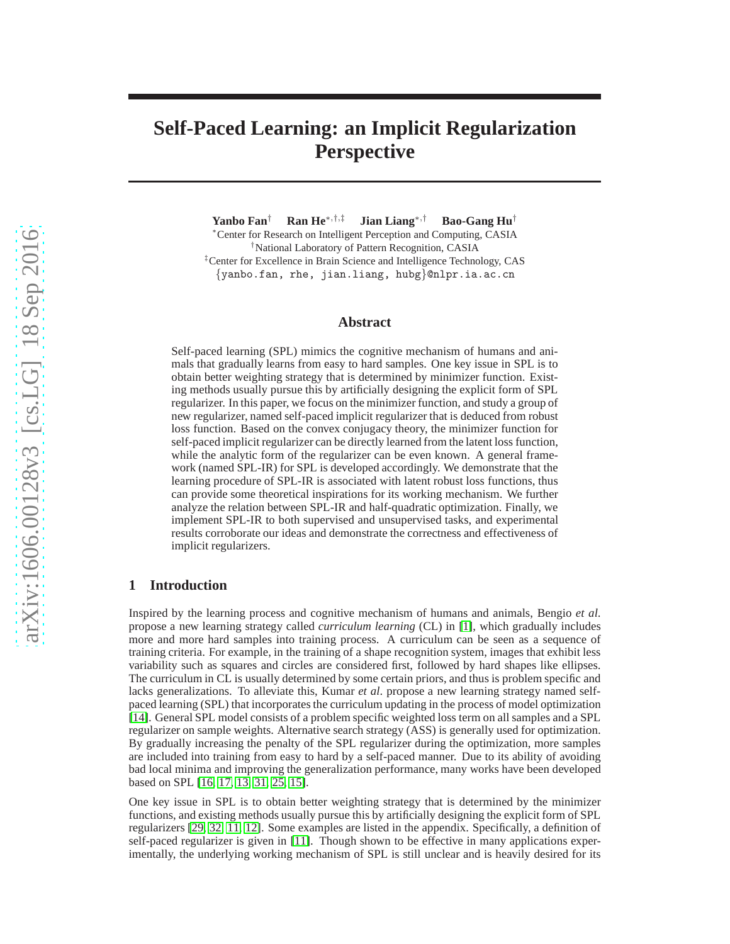# **Self-Paced Learning: an Implicit Regularization Perspective**

**Yanbo Fan**† **Ran He**∗,†,‡ **Jian Liang**∗,† **Bao-Gang Hu**†

<sup>∗</sup>Center for Research on Intelligent Perception and Computing, CASIA †National Laboratory of Pattern Recognition, CASIA ‡Center for Excellence in Brain Science and Intelligence Technology, CAS {yanbo.fan, rhe, jian.liang, hubg}@nlpr.ia.ac.cn

# **Abstract**

Self-paced learning (SPL) mimics the cognitive mechanism of humans and animals that gradually learns from easy to hard samples. One key issue in SPL is to obtain better weighting strategy that is determined by minimizer function. Existing methods usually pursue this by artificially designing the explicit form of SPL regularizer. In this paper, we focus on the minimizer function, and study a group of new regularizer, named self-paced implicit regularizer that is deduced from robust loss function. Based on the convex conjugacy theory, the minimizer function for self-paced implicit regularizer can be directly learned from the latent loss function, while the analytic form of the regularizer can be even known. A general framework (named SPL-IR) for SPL is developed accordingly. We demonstrate that the learning procedure of SPL-IR is associated with latent robust loss functions, thus can provide some theoretical inspirations for its working mechanism. We further analyze the relation between SPL-IR and half-quadratic optimization. Finally, we implement SPL-IR to both supervised and unsupervised tasks, and experimental results corroborate our ideas and demonstrate the correctness and effectiveness of implicit regularizers.

# **1 Introduction**

Inspired by the learning process and cognitive mechanism of humans and animals, Bengio *et al*. propose a new learning strategy called *curriculum learning* (CL) in [\[1\]](#page-11-0), which gradually includes more and more hard samples into training process. A curriculum can be seen as a sequence of training criteria. For example, in the training of a shape recognition system, images that exhibit less variability such as squares and circles are considered first, followed by hard shapes like ellipses. The curriculum in CL is usually determined by some certain priors, and thus is problem specific and lacks generalizations. To alleviate this, Kumar *et al*. propose a new learning strategy named selfpaced learning (SPL) that incorporates the curriculum updating in the process of model optimization [\[14\]](#page-11-1). General SPL model consists of a problem specific weighted loss term on all samples and a SPL regularizer on sample weights. Alternative search strategy (ASS) is generally used for optimization. By gradually increasing the penalty of the SPL regularizer during the optimization, more samples are included into training from easy to hard by a self-paced manner. Due to its ability of avoiding bad local minima and improving the generalization performance, many works have been developed based on SPL [\[16,](#page-11-2) [17,](#page-11-3) [13,](#page-11-4) [31,](#page-11-5) [25,](#page-11-6) [15\]](#page-11-7).

One key issue in SPL is to obtain better weighting strategy that is determined by the minimizer functions, and existing methods usually pursue this by artificially designing the explicit form of SPL regularizers [\[29,](#page-11-8) [32,](#page-11-9) [11,](#page-11-10) [12\]](#page-11-11). Some examples are listed in the appendix. Specifically, a definition of self-paced regularizer is given in [\[11\]](#page-11-10). Though shown to be effective in many applications experimentally, the underlying working mechanism of SPL is still unclear and is heavily desired for its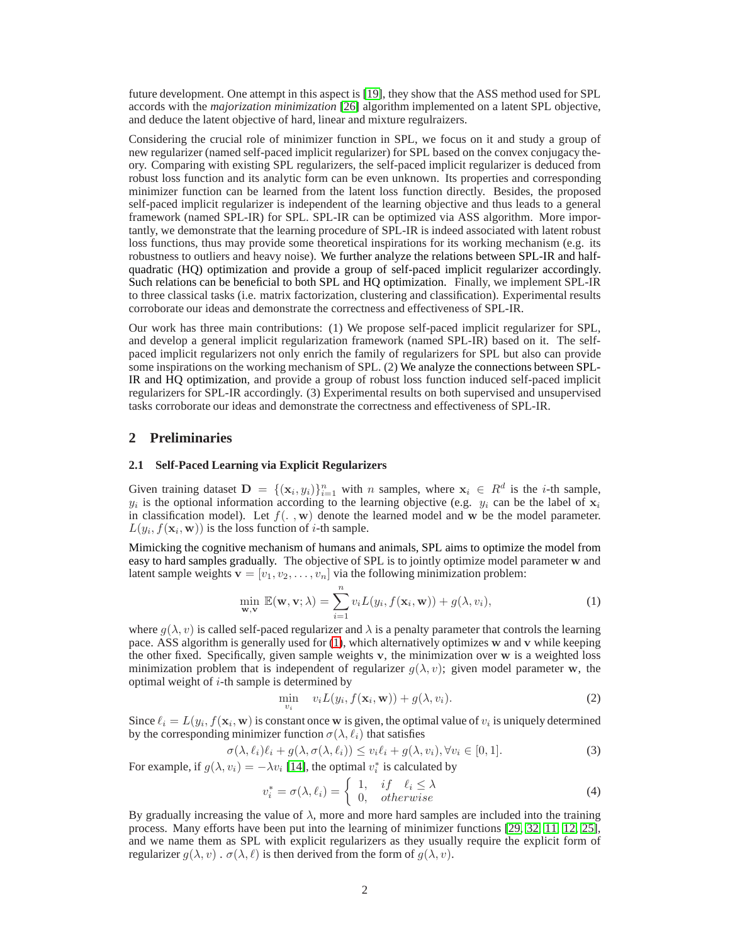future development. One attempt in this aspect is [\[19\]](#page-11-12), they show that the ASS method used for SPL accords with the *majorization minimization* [\[26\]](#page-11-13) algorithm implemented on a latent SPL objective, and deduce the latent objective of hard, linear and mixture regulraizers.

Considering the crucial role of minimizer function in SPL, we focus on it and study a group of new regularizer (named self-paced implicit regularizer) for SPL based on the convex conjugacy theory. Comparing with existing SPL regularizers, the self-paced implicit regularizer is deduced from robust loss function and its analytic form can be even unknown. Its properties and corresponding minimizer function can be learned from the latent loss function directly. Besides, the proposed self-paced implicit regularizer is independent of the learning objective and thus leads to a general framework (named SPL-IR) for SPL. SPL-IR can be optimized via ASS algorithm. More importantly, we demonstrate that the learning procedure of SPL-IR is indeed associated with latent robust loss functions, thus may provide some theoretical inspirations for its working mechanism (e.g. its robustness to outliers and heavy noise). We further analyze the relations between SPL-IR and halfquadratic (HQ) optimization and provide a group of self-paced implicit regularizer accordingly. Such relations can be beneficial to both SPL and HQ optimization. Finally, we implement SPL-IR to three classical tasks (i.e. matrix factorization, clustering and classification). Experimental results corroborate our ideas and demonstrate the correctness and effectiveness of SPL-IR.

Our work has three main contributions: (1) We propose self-paced implicit regularizer for SPL, and develop a general implicit regularization framework (named SPL-IR) based on it. The selfpaced implicit regularizers not only enrich the family of regularizers for SPL but also can provide some inspirations on the working mechanism of SPL. (2) We analyze the connections between SPL-IR and HQ optimization, and provide a group of robust loss function induced self-paced implicit regularizers for SPL-IR accordingly. (3) Experimental results on both supervised and unsupervised tasks corroborate our ideas and demonstrate the correctness and effectiveness of SPL-IR.

## **2 Preliminaries**

#### **2.1 Self-Paced Learning via Explicit Regularizers**

Given training dataset  $\mathbf{D} = \{(\mathbf{x}_i, y_i)\}_{i=1}^n$  with n samples, where  $\mathbf{x}_i \in R^d$  is the *i*-th sample,  $y_i$  is the optional information according to the learning objective (e.g.  $y_i$  can be the label of  $\mathbf{x}_i$ in classification model). Let  $f(\cdot, \mathbf{w})$  denote the learned model and w be the model parameter.  $L(y_i, f(\mathbf{x}_i, \mathbf{w}))$  is the loss function of *i*-th sample.

Mimicking the cognitive mechanism of humans and animals, SPL aims to optimize the model from easy to hard samples gradually. The objective of SPL is to jointly optimize model parameter w and latent sample weights  $\mathbf{v} = [v_1, v_2, \dots, v_n]$  via the following minimization problem:

<span id="page-1-0"></span>
$$
\min_{\mathbf{w}, \mathbf{v}} \mathbb{E}(\mathbf{w}, \mathbf{v}; \lambda) = \sum_{i=1}^{n} v_i L(y_i, f(\mathbf{x}_i, \mathbf{w})) + g(\lambda, v_i),
$$
\n(1)

where  $g(\lambda, v)$  is called self-paced regularizer and  $\lambda$  is a penalty parameter that controls the learning pace. ASS algorithm is generally used for [\(1\)](#page-1-0), which alternatively optimizes w and v while keeping the other fixed. Specifically, given sample weights v, the minimization over w is a weighted loss minimization problem that is independent of regularizer  $g(\lambda, v)$ ; given model parameter w, the optimal weight of  $i$ -th sample is determined by

$$
\min_{v_i} \quad v_i L(y_i, f(\mathbf{x}_i, \mathbf{w})) + g(\lambda, v_i). \tag{2}
$$

Since  $\ell_i = L(y_i, f(\mathbf{x}_i, \mathbf{w}))$  is constant once w is given, the optimal value of  $v_i$  is uniquely determined by the corresponding minimizer function  $\sigma(\lambda, \ell_i)$  that satisfies

$$
\sigma(\lambda, \ell_i)\ell_i + g(\lambda, \sigma(\lambda, \ell_i)) \le v_i\ell_i + g(\lambda, v_i), \forall v_i \in [0, 1].
$$
\n(3)

For example, if  $g(\lambda, v_i) = -\lambda v_i$  [\[14\]](#page-11-1), the optimal  $v_i^*$  is calculated by

$$
v_i^* = \sigma(\lambda, \ell_i) = \begin{cases} 1, & if \quad \ell_i \le \lambda \\ 0, & otherwise \end{cases}
$$
 (4)

By gradually increasing the value of  $\lambda$ , more and more hard samples are included into the training process. Many efforts have been put into the learning of minimizer functions [\[29,](#page-11-8) [32,](#page-11-9) [11,](#page-11-10) [12,](#page-11-11) [25\]](#page-11-6), and we name them as SPL with explicit regularizers as they usually require the explicit form of regularizer  $g(\lambda, v)$ .  $\sigma(\lambda, \ell)$  is then derived from the form of  $g(\lambda, v)$ .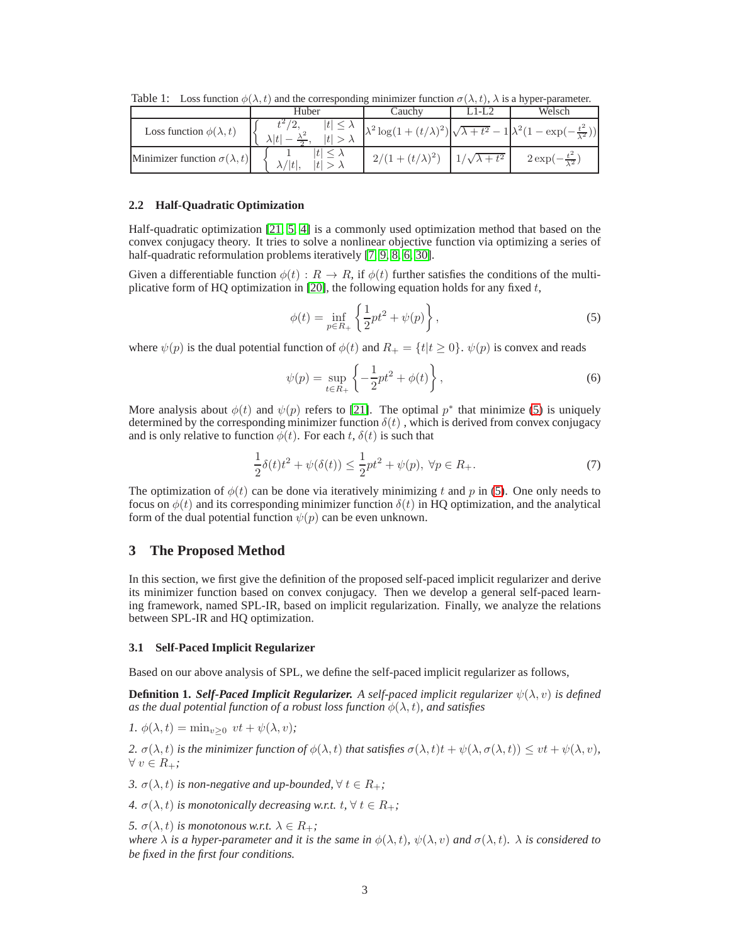|                                         | Huber | Cauchy                | LI-L2                    | Welsch                                                                                              |
|-----------------------------------------|-------|-----------------------|--------------------------|-----------------------------------------------------------------------------------------------------|
| Loss function $\phi(\lambda, t)$        |       |                       |                          | $\lambda^2 \log(1+(t/\lambda)^2) \sqrt{\lambda+t^2} - 1 \lambda^2 (1-\exp(-\frac{t^2}{\lambda^2}))$ |
| Minimizer function $\sigma(\lambda, t)$ | ٦ŧ    | $2/(1+(t/\lambda)^2)$ | $1/\sqrt{\lambda + t^2}$ | $2\exp(-\frac{t^2}{\lambda^2})$                                                                     |

<span id="page-2-2"></span>Table 1: Loss function  $\phi(\lambda, t)$  and the corresponding minimizer function  $\sigma(\lambda, t)$ ,  $\lambda$  is a hyper-parameter.

## **2.2 Half-Quadratic Optimization**

Half-quadratic optimization [\[21,](#page-11-14) [5,](#page-11-15) [4\]](#page-11-16) is a commonly used optimization method that based on the convex conjugacy theory. It tries to solve a nonlinear objective function via optimizing a series of half-quadratic reformulation problems iteratively [\[7,](#page-11-17) [9,](#page-11-18) [8,](#page-11-19) [6,](#page-11-20) [30\]](#page-11-21).

Given a differentiable function  $\phi(t): R \to R$ , if  $\phi(t)$  further satisfies the conditions of the multi-plicative form of HQ optimization in [\[20\]](#page-11-22), the following equation holds for any fixed  $t$ ,

<span id="page-2-0"></span>
$$
\phi(t) = \inf_{p \in R_+} \left\{ \frac{1}{2} p t^2 + \psi(p) \right\},\tag{5}
$$

where  $\psi(p)$  is the dual potential function of  $\phi(t)$  and  $R_+ = \{t | t \geq 0\}$ .  $\psi(p)$  is convex and reads

$$
\psi(p) = \sup_{t \in R_+} \left\{ -\frac{1}{2} p t^2 + \phi(t) \right\},\tag{6}
$$

More analysis about  $\phi(t)$  and  $\psi(p)$  refers to [\[21\]](#page-11-14). The optimal  $p^*$  that minimize [\(5\)](#page-2-0) is uniquely determined by the corresponding minimizer function  $\delta(t)$ , which is derived from convex conjugacy and is only relative to function  $\phi(t)$ . For each t,  $\delta(t)$  is such that

<span id="page-2-1"></span>
$$
\frac{1}{2}\delta(t)t^2 + \psi(\delta(t)) \le \frac{1}{2}pt^2 + \psi(p), \ \forall p \in R_+.
$$
 (7)

The optimization of  $\phi(t)$  can be done via iteratively minimizing t and p in [\(5\)](#page-2-0). One only needs to focus on  $\phi(t)$  and its corresponding minimizer function  $\delta(t)$  in HQ optimization, and the analytical form of the dual potential function  $\psi(p)$  can be even unknown.

# **3 The Proposed Method**

In this section, we first give the definition of the proposed self-paced implicit regularizer and derive its minimizer function based on convex conjugacy. Then we develop a general self-paced learning framework, named SPL-IR, based on implicit regularization. Finally, we analyze the relations between SPL-IR and HQ optimization.

#### **3.1 Self-Paced Implicit Regularizer**

Based on our above analysis of SPL, we define the self-paced implicit regularizer as follows,

**Definition 1.** *Self-Paced Implicit Regularizer. A self-paced implicit regularizer*  $\psi(\lambda, v)$  *is defined as the dual potential function of a robust loss function*  $\phi(\lambda, t)$ *, and satisfies* 

$$
1. \ \phi(\lambda, t) = \min_{v \ge 0} \ vt + \psi(\lambda, v);
$$

2.  $\sigma(\lambda, t)$  *is the minimizer function of*  $\phi(\lambda, t)$  *that satisfies*  $\sigma(\lambda, t)t + \psi(\lambda, \sigma(\lambda, t)) \leq vt + \psi(\lambda, v)$ , ∀ v ∈ R+*;*

*3.*  $\sigma(\lambda, t)$  *is non-negative and up-bounded,*  $\forall t \in R_+$ *;* 

*4.*  $\sigma(\lambda, t)$  *is monotonically decreasing w.r.t.*  $t, \forall t \in R_+$ *;* 

*5.*  $\sigma(\lambda, t)$  *is monotonous w.r.t.*  $\lambda \in R_+$ *;* 

*where*  $\lambda$  *is a hyper-parameter and it is the same in*  $\phi(\lambda, t)$ ,  $\psi(\lambda, v)$  *and*  $\sigma(\lambda, t)$ *.*  $\lambda$  *is considered to be fixed in the first four conditions.*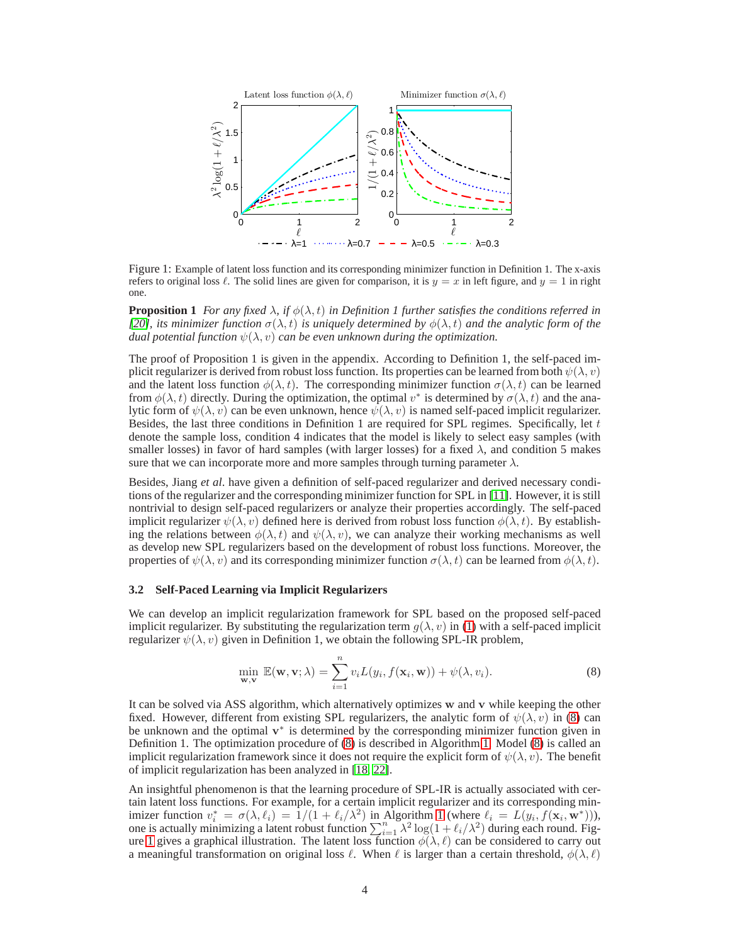

<span id="page-3-1"></span>Figure 1: Example of latent loss function and its corresponding minimizer function in Definition 1. The x-axis refers to original loss  $\ell$ . The solid lines are given for comparison, it is  $y = x$  in left figure, and  $y = 1$  in right one.

**Proposition 1** *For any fixed*  $\lambda$ *, if*  $\phi(\lambda, t)$  *in Definition 1 further satisfies the conditions referred in [\[20\]](#page-11-22), its minimizer function*  $\sigma(\lambda, t)$  *is uniquely determined by*  $\phi(\lambda, t)$  *and the analytic form of the dual potential function*  $\psi(\lambda, v)$  *can be even unknown during the optimization.* 

The proof of Proposition 1 is given in the appendix. According to Definition 1, the self-paced implicit regularizer is derived from robust loss function. Its properties can be learned from both  $\psi(\lambda, v)$ and the latent loss function  $\phi(\lambda, t)$ . The corresponding minimizer function  $\sigma(\lambda, t)$  can be learned from  $\phi(\lambda, t)$  directly. During the optimization, the optimal  $v^*$  is determined by  $\sigma(\lambda, t)$  and the analytic form of  $\psi(\lambda, v)$  can be even unknown, hence  $\psi(\lambda, v)$  is named self-paced implicit regularizer. Besides, the last three conditions in Definition 1 are required for SPL regimes. Specifically, let  $t$ denote the sample loss, condition 4 indicates that the model is likely to select easy samples (with smaller losses) in favor of hard samples (with larger losses) for a fixed  $\lambda$ , and condition 5 makes sure that we can incorporate more and more samples through turning parameter  $\lambda$ .

Besides, Jiang *et al*. have given a definition of self-paced regularizer and derived necessary conditions of the regularizer and the corresponding minimizer function for SPL in [\[11\]](#page-11-10). However, it is still nontrivial to design self-paced regularizers or analyze their properties accordingly. The self-paced implicit regularizer  $\psi(\lambda, v)$  defined here is derived from robust loss function  $\phi(\lambda, t)$ . By establishing the relations between  $\phi(\lambda, t)$  and  $\psi(\lambda, v)$ , we can analyze their working mechanisms as well as develop new SPL regularizers based on the development of robust loss functions. Moreover, the properties of  $\psi(\lambda, v)$  and its corresponding minimizer function  $\sigma(\lambda, t)$  can be learned from  $\phi(\lambda, t)$ .

#### **3.2 Self-Paced Learning via Implicit Regularizers**

We can develop an implicit regularization framework for SPL based on the proposed self-paced implicit regularizer. By substituting the regularization term  $g(\lambda, v)$  in [\(1\)](#page-1-0) with a self-paced implicit regularizer  $\psi(\lambda, v)$  given in Definition 1, we obtain the following SPL-IR problem,

<span id="page-3-0"></span>
$$
\min_{\mathbf{w}, \mathbf{v}} \mathbb{E}(\mathbf{w}, \mathbf{v}; \lambda) = \sum_{i=1}^{n} v_i L(y_i, f(\mathbf{x}_i, \mathbf{w})) + \psi(\lambda, v_i).
$$
\n(8)

It can be solved via ASS algorithm, which alternatively optimizes w and v while keeping the other fixed. However, different from existing SPL regularizers, the analytic form of  $\psi(\lambda, v)$  in [\(8\)](#page-3-0) can be unknown and the optimal  $v^*$  is determined by the corresponding minimizer function given in Definition 1. The optimization procedure of [\(8\)](#page-3-0) is described in Algorithm [1.](#page-5-0) Model [\(8\)](#page-3-0) is called an implicit regularization framework since it does not require the explicit form of  $\psi(\lambda, v)$ . The benefit of implicit regularization has been analyzed in [\[18,](#page-11-23) [22\]](#page-11-24).

An insightful phenomenon is that the learning procedure of SPL-IR is actually associated with certain latent loss functions. For example, for a certain implicit regularizer and its corresponding minimizer function  $v_i^* = \sigma(\lambda, \ell_i) = 1/(1 + \ell_i/\lambda^2)$  $v_i^* = \sigma(\lambda, \ell_i) = 1/(1 + \ell_i/\lambda^2)$  $v_i^* = \sigma(\lambda, \ell_i) = 1/(1 + \ell_i/\lambda^2)$  in Algorithm 1 (where  $\ell_i = L(y_i, f(\mathbf{x}_i, \mathbf{w}^*)))$ , one is actually minimizing a latent robust function  $\sum_{i=1}^{n} \lambda^2 \log(1 + \ell_i/\lambda^2)$  during each round. Fig-ure [1](#page-3-1) gives a graphical illustration. The latent loss function  $\phi(\lambda, \ell)$  can be considered to carry out a meaningful transformation on original loss  $\ell$ . When  $\ell$  is larger than a certain threshold,  $\phi(\lambda, \ell)$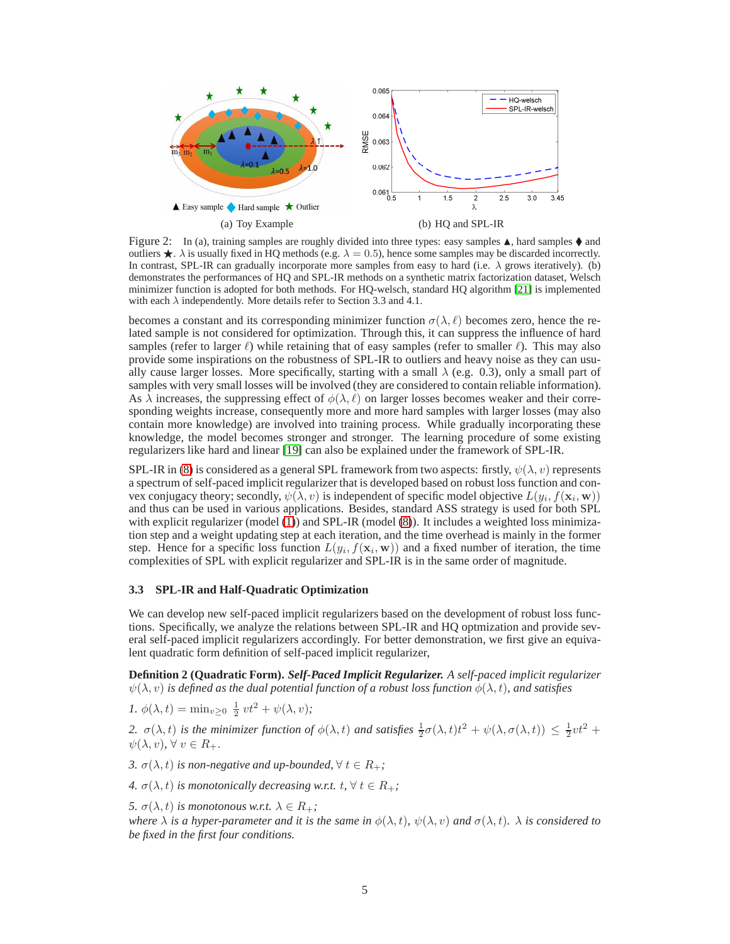

<span id="page-4-1"></span><span id="page-4-0"></span>Figure 2: In (a), training samples are roughly divided into three types: easy samples  $\blacktriangle$ , hard samples  $\blacklozenge$  and outliers  $\star$ .  $\lambda$  is usually fixed in HQ methods (e.g.  $\lambda = 0.5$ ), hence some samples may be discarded incorrectly. In contrast, SPL-IR can gradually incorporate more samples from easy to hard (i.e.  $\lambda$  grows iteratively). (b) demonstrates the performances of HQ and SPL-IR methods on a synthetic matrix factorization dataset, Welsch minimizer function is adopted for both methods. For HQ-welsch, standard HQ algorithm [\[21\]](#page-11-14) is implemented with each  $\lambda$  independently. More details refer to Section 3.3 and 4.1.

becomes a constant and its corresponding minimizer function  $\sigma(\lambda, \ell)$  becomes zero, hence the related sample is not considered for optimization. Through this, it can suppress the influence of hard samples (refer to larger  $\ell$ ) while retaining that of easy samples (refer to smaller  $\ell$ ). This may also provide some inspirations on the robustness of SPL-IR to outliers and heavy noise as they can usually cause larger losses. More specifically, starting with a small  $\lambda$  (e.g. 0.3), only a small part of samples with very small losses will be involved (they are considered to contain reliable information). As  $\lambda$  increases, the suppressing effect of  $\phi(\lambda, \ell)$  on larger losses becomes weaker and their corresponding weights increase, consequently more and more hard samples with larger losses (may also contain more knowledge) are involved into training process. While gradually incorporating these knowledge, the model becomes stronger and stronger. The learning procedure of some existing regularizers like hard and linear [\[19\]](#page-11-12) can also be explained under the framework of SPL-IR.

SPL-IR in [\(8\)](#page-3-0) is considered as a general SPL framework from two aspects: firstly,  $\psi(\lambda, v)$  represents a spectrum of self-paced implicit regularizer that is developed based on robust loss function and convex conjugacy theory; secondly,  $\psi(\lambda, v)$  is independent of specific model objective  $L(y_i, f(\mathbf{x}_i, \mathbf{w}))$ and thus can be used in various applications. Besides, standard ASS strategy is used for both SPL with explicit regularizer (model [\(1\)](#page-1-0)) and SPL-IR (model [\(8\)](#page-3-0)). It includes a weighted loss minimization step and a weight updating step at each iteration, and the time overhead is mainly in the former step. Hence for a specific loss function  $L(y_i, f(\mathbf{x}_i, \mathbf{w}))$  and a fixed number of iteration, the time complexities of SPL with explicit regularizer and SPL-IR is in the same order of magnitude.

# **3.3 SPL-IR and Half-Quadratic Optimization**

We can develop new self-paced implicit regularizers based on the development of robust loss functions. Specifically, we analyze the relations between SPL-IR and HQ optmization and provide several self-paced implicit regularizers accordingly. For better demonstration, we first give an equivalent quadratic form definition of self-paced implicit regularizer,

**Definition 2 (Quadratic Form).** *Self-Paced Implicit Regularizer. A self-paced implicit regularizer*  $\psi(\lambda, v)$  *is defined as the dual potential function of a robust loss function*  $\phi(\lambda, t)$ *, and satisfies* 

*1.*  $\phi(\lambda, t) = \min_{v \geq 0} \frac{1}{2} vt^2 + \psi(\lambda, v)$ ;

2.  $\sigma(\lambda, t)$  *is the minimizer function of*  $\phi(\lambda, t)$  *and satisfies*  $\frac{1}{2}\sigma(\lambda, t)t^2 + \psi(\lambda, \sigma(\lambda, t)) \leq \frac{1}{2}vt^2 +$  $\psi(\lambda, v), \forall v \in R_+.$ 

*3.*  $\sigma(\lambda, t)$  *is non-negative and up-bounded,*  $\forall t \in R_+$ *;* 

*4.*  $\sigma(\lambda, t)$  *is monotonically decreasing w.r.t.*  $t, \forall t \in R_+$ *;* 

*5.*  $\sigma(\lambda, t)$  *is monotonous w.r.t.*  $\lambda \in R_+$ *; where*  $\lambda$  *is a hyper-parameter and it is the same in*  $\phi(\lambda, t)$ *,*  $\psi(\lambda, v)$  *and*  $\sigma(\lambda, t)$ *.*  $\lambda$  *is considered to be fixed in the first four conditions.*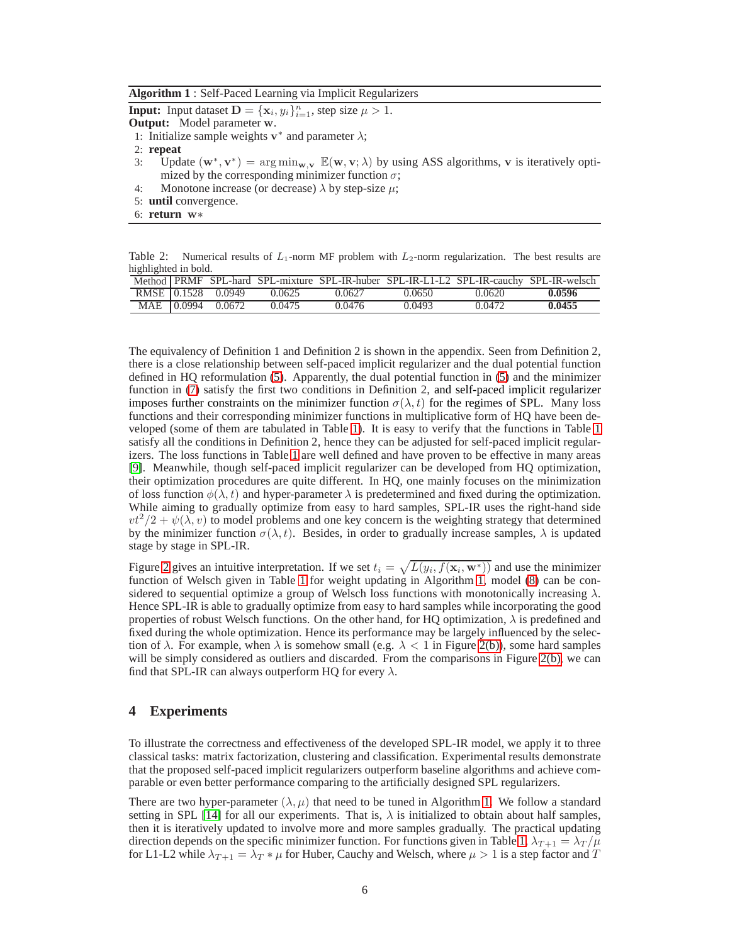<span id="page-5-0"></span>**Algorithm 1** : Self-Paced Learning via Implicit Regularizers

**Input:** Input dataset  $D = {\mathbf{x}_i, y_i}_{i=1}^n$ , step size  $\mu > 1$ .

**Output:** Model parameter w.

- 1: Initialize sample weights  $v^*$  and parameter  $\lambda$ ;
- 2: **repeat**
- 3: Update  $(\mathbf{w}^*, \mathbf{v}^*) = \arg \min_{\mathbf{w}, \mathbf{v}} \mathbb{E}(\mathbf{w}, \mathbf{v}; \lambda)$  by using ASS algorithms, v is iteratively optimized by the corresponding minimizer function  $\sigma$ ;
- 4: Monotone increase (or decrease)  $\lambda$  by step-size  $\mu$ ;
- 5: **until** convergence.
- 6: **return** <sup>w</sup><sup>∗</sup>

<span id="page-5-1"></span>Table 2: Numerical results of  $L_1$ -norm MF problem with  $L_2$ -norm regularization. The best results are highlighted in bold.

|  |                    |        |        |        | Method PRMF SPL-hard SPL-mixture SPL-IR-huber SPL-IR-L1-L2 SPL-IR-cauchy SPL-IR-welsch |        |
|--|--------------------|--------|--------|--------|----------------------------------------------------------------------------------------|--------|
|  | RMSE 0.1528 0.0949 | 0.0625 | 0.0627 | 0.0650 | 0.0620                                                                                 | 0.0596 |
|  | MAE 0.0994 0.0672  | 0.0475 | 0.0476 | 0.0493 | 0.0472                                                                                 | 0.0455 |

The equivalency of Definition 1 and Definition 2 is shown in the appendix. Seen from Definition 2, there is a close relationship between self-paced implicit regularizer and the dual potential function defined in HQ reformulation [\(5\)](#page-2-0). Apparently, the dual potential function in [\(5\)](#page-2-0) and the minimizer function in [\(7\)](#page-2-1) satisfy the first two conditions in Definition 2, and self-paced implicit regularizer imposes further constraints on the minimizer function  $\sigma(\lambda, t)$  for the regimes of SPL. Many loss functions and their corresponding minimizer functions in multiplicative form of HQ have been developed (some of them are tabulated in Table [1\)](#page-2-2). It is easy to verify that the functions in Table [1](#page-2-2) satisfy all the conditions in Definition 2, hence they can be adjusted for self-paced implicit regularizers. The loss functions in Table [1](#page-2-2) are well defined and have proven to be effective in many areas [\[9\]](#page-11-18). Meanwhile, though self-paced implicit regularizer can be developed from HQ optimization, their optimization procedures are quite different. In HQ, one mainly focuses on the minimization of loss function  $\phi(\lambda, t)$  and hyper-parameter  $\lambda$  is predetermined and fixed during the optimization. While aiming to gradually optimize from easy to hard samples, SPL-IR uses the right-hand side  $vt^2/2 + \psi(\lambda, v)$  to model problems and one key concern is the weighting strategy that determined by the minimizer function  $\sigma(\lambda, t)$ . Besides, in order to gradually increase samples,  $\lambda$  is updated stage by stage in SPL-IR.

Figure [2](#page-4-0) gives an intuitive interpretation. If we set  $t_i = \sqrt{L(y_i, f(\mathbf{x}_i, \mathbf{w}^*))}$  and use the minimizer function of Welsch given in Table [1](#page-2-2) for weight updating in Algorithm [1,](#page-5-0) model [\(8\)](#page-3-0) can be considered to sequential optimize a group of Welsch loss functions with monotonically increasing  $\lambda$ . Hence SPL-IR is able to gradually optimize from easy to hard samples while incorporating the good properties of robust Welsch functions. On the other hand, for HQ optimization,  $\lambda$  is predefined and fixed during the whole optimization. Hence its performance may be largely influenced by the selection of  $\lambda$ . For example, when  $\lambda$  is somehow small (e.g.  $\lambda < 1$  in Figure [2\(b\)\)](#page-4-1), some hard samples will be simply considered as outliers and discarded. From the comparisons in Figure [2\(b\),](#page-4-1) we can find that SPL-IR can always outperform HQ for every  $\lambda$ .

# **4 Experiments**

To illustrate the correctness and effectiveness of the developed SPL-IR model, we apply it to three classical tasks: matrix factorization, clustering and classification. Experimental results demonstrate that the proposed self-paced implicit regularizers outperform baseline algorithms and achieve comparable or even better performance comparing to the artificially designed SPL regularizers.

There are two hyper-parameter  $(\lambda, \mu)$  that need to be tuned in Algorithm [1.](#page-5-0) We follow a standard setting in SPL [\[14\]](#page-11-1) for all our experiments. That is,  $\lambda$  is initialized to obtain about half samples, then it is iteratively updated to involve more and more samples gradually. The practical updating direction depends on the specific minimizer function. For functions given in Table [1,](#page-2-2)  $\lambda_{T+1} = \lambda_T / \mu$ for L1-L2 while  $\lambda_{T+1} = \lambda_T * \mu$  for Huber, Cauchy and Welsch, where  $\mu > 1$  is a step factor and T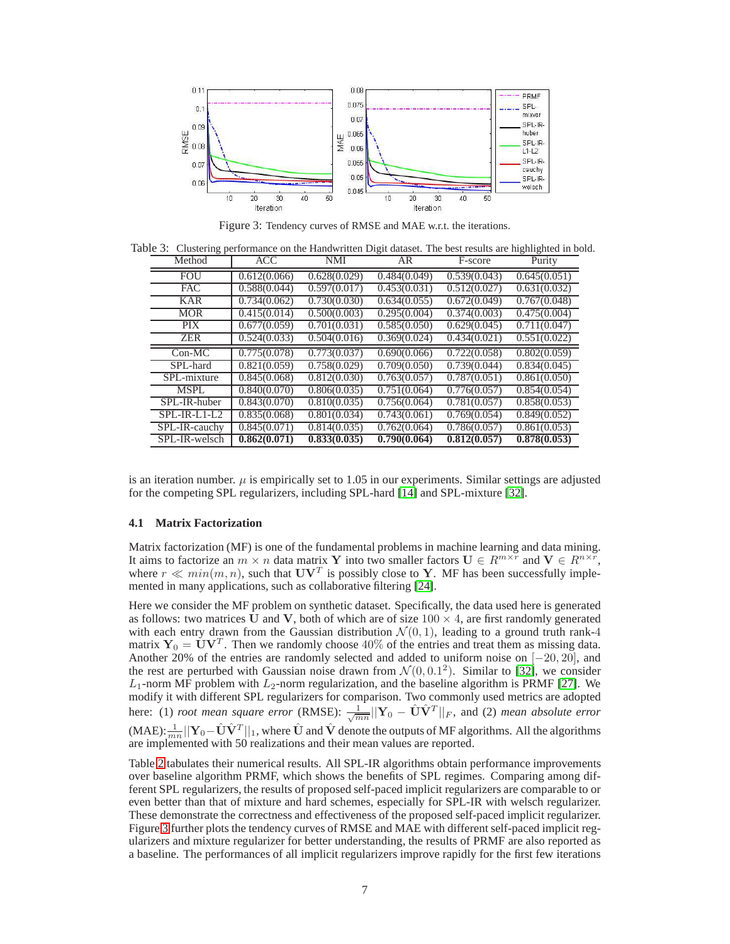

<span id="page-6-0"></span>Figure 3: Tendency curves of RMSE and MAE w.r.t. the iterations.

Table 3: Clustering performance on the Handwritten Digit dataset. The best results are highlighted in bold.

<span id="page-6-1"></span>

| Method         | ACC          | <b>NMI</b>   | AR           | F-score      | Purity       |
|----------------|--------------|--------------|--------------|--------------|--------------|
| <b>FOU</b>     | 0.612(0.066) | 0.628(0.029) | 0.484(0.049) | 0.539(0.043) | 0.645(0.051) |
| <b>FAC</b>     | 0.588(0.044) | 0.597(0.017) | 0.453(0.031) | 0.512(0.027) | 0.631(0.032) |
| <b>KAR</b>     | 0.734(0.062) | 0.730(0.030) | 0.634(0.055) | 0.672(0.049) | 0.767(0.048) |
| <b>MOR</b>     | 0.415(0.014) | 0.500(0.003) | 0.295(0.004) | 0.374(0.003) | 0.475(0.004) |
| <b>PIX</b>     | 0.677(0.059) | 0.701(0.031) | 0.585(0.050) | 0.629(0.045) | 0.711(0.047) |
| <b>ZER</b>     | 0.524(0.033) | 0.504(0.016) | 0.369(0.024) | 0.434(0.021) | 0.551(0.022) |
| $Con-MC$       | 0.775(0.078) | 0.773(0.037) | 0.690(0.066) | 0.722(0.058) | 0.802(0.059) |
| SPL-hard       | 0.821(0.059) | 0.758(0.029) | 0.709(0.050) | 0.739(0.044) | 0.834(0.045) |
| SPL-mixture    | 0.845(0.068) | 0.812(0.030) | 0.763(0.057) | 0.787(0.051) | 0.861(0.050) |
| <b>MSPL</b>    | 0.840(0.070) | 0.806(0.035) | 0.751(0.064) | 0.776(0.057) | 0.854(0.054) |
| SPL-IR-huber   | 0.843(0.070) | 0.810(0.035) | 0.756(0.064) | 0.781(0.057) | 0.858(0.053) |
| $SPL-IR-L1-L2$ | 0.835(0.068) | 0.801(0.034) | 0.743(0.061) | 0.769(0.054) | 0.849(0.052) |
| SPL-IR-cauchy  | 0.845(0.071) | 0.814(0.035) | 0.762(0.064) | 0.786(0.057) | 0.861(0.053) |
| SPL-IR-welsch  | 0.862(0.071) | 0.833(0.035) | 0.790(0.064) | 0.812(0.057) | 0.878(0.053) |

is an iteration number.  $\mu$  is empirically set to 1.05 in our experiments. Similar settings are adjusted for the competing SPL regularizers, including SPL-hard [\[14\]](#page-11-1) and SPL-mixture [\[32\]](#page-11-9).

## **4.1 Matrix Factorization**

Matrix factorization (MF) is one of the fundamental problems in machine learning and data mining. It aims to factorize an  $m \times n$  data matrix Y into two smaller factors  $\mathbf{U} \in R^{m \times r}$  and  $\mathbf{V} \in R^{n \times r}$ , where  $r \ll min(m, n)$ , such that  $UV<sup>T</sup>$  is possibly close to Y. MF has been successfully implemented in many applications, such as collaborative filtering [\[24\]](#page-11-25).

Here we consider the MF problem on synthetic dataset. Specifically, the data used here is generated as follows: two matrices U and V, both of which are of size  $100 \times 4$ , are first randomly generated with each entry drawn from the Gaussian distribution  $\mathcal{N}(0, 1)$ , leading to a ground truth rank-4 matrix  $Y_0 = \dot{\mathbf{U}} \mathbf{V}^T$ . Then we randomly choose 40% of the entries and treat them as missing data. Another 20% of the entries are randomly selected and added to uniform noise on [−20, 20], and the rest are perturbed with Gaussian noise drawn from  $\mathcal{N}(0, 0.1^2)$ . Similar to [\[32\]](#page-11-9), we consider  $L_1$ -norm MF problem with  $L_2$ -norm regularization, and the baseline algorithm is PRMF [\[27\]](#page-11-26). We modify it with different SPL regularizers for comparison. Two commonly used metrics are adopted here: (1) *root mean square error* (RMSE):  $\frac{1}{\sqrt{mn}}||\mathbf{Y}_0 - \hat{\mathbf{U}}\hat{\mathbf{V}}^T||_F$ , and (2) *mean absolute error* (MAE):  $\frac{1}{mn}||\mathbf{Y}_0 - \hat{\mathbf{U}}\hat{\mathbf{V}}^T||_1$ , where  $\hat{\mathbf{U}}$  and  $\hat{\mathbf{V}}$  denote the outputs of MF algorithms. All the algorithms are implemented with 50 realizations and their mean values are reported.

Table [2](#page-5-1) tabulates their numerical results. All SPL-IR algorithms obtain performance improvements over baseline algorithm PRMF, which shows the benefits of SPL regimes. Comparing among different SPL regularizers, the results of proposed self-paced implicit regularizers are comparable to or even better than that of mixture and hard schemes, especially for SPL-IR with welsch regularizer. These demonstrate the correctness and effectiveness of the proposed self-paced implicit regularizer. Figure [3](#page-6-0) further plots the tendency curves of RMSE and MAE with different self-paced implicit regularizers and mixture regularizer for better understanding, the results of PRMF are also reported as a baseline. The performances of all implicit regularizers improve rapidly for the first few iterations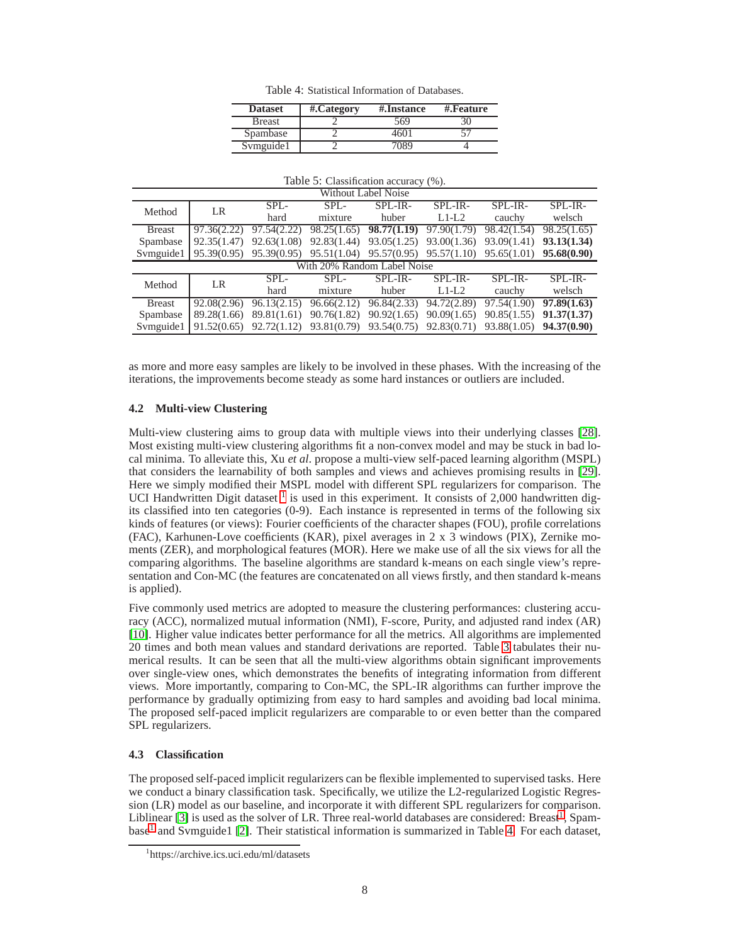<span id="page-7-1"></span>Table 4: Statistical Information of Databases.

| <b>Dataset</b> | #.Category | #.Instance | #.Feature |
|----------------|------------|------------|-----------|
| <b>Breast</b>  |            | 569        |           |
| Spambase       |            | 160        |           |
| Symguide1      |            | ገን የ       |           |

<span id="page-7-2"></span>

| Table 5: Classification accuracy (%).                                                                                                                                                                                                                                                                |  |
|------------------------------------------------------------------------------------------------------------------------------------------------------------------------------------------------------------------------------------------------------------------------------------------------------|--|
| $\mathbf{W}^{T}$ and $\mathbf{H}$ in $\mathbf{H}$ in $\mathbf{H}$ in $\mathbf{H}$ in $\mathbf{H}$ in $\mathbf{H}$ in $\mathbf{H}$ in $\mathbf{H}$ in $\mathbf{H}$ in $\mathbf{H}$ in $\mathbf{H}$ in $\mathbf{H}$ in $\mathbf{H}$ in $\mathbf{H}$ in $\mathbf{H}$ in $\mathbf{H}$ in $\mathbf{H}$ in |  |

| WILHOUL LADEL NOISE |                             |                             |             |                                           |             |                                                                       |                             |
|---------------------|-----------------------------|-----------------------------|-------------|-------------------------------------------|-------------|-----------------------------------------------------------------------|-----------------------------|
| Method              | LR                          | $SPL-$                      | $SPL-$      | SPL-IR-                                   | SPL-IR-     | SPL-IR-                                                               | SPL-IR-                     |
|                     |                             | hard                        | mixture     | huber                                     | $L1-L2$     | cauchy                                                                | welsch                      |
| <b>Breast</b>       | 97.36(2.22)                 | 97.54(2.22)                 |             | 98.25(1.65) 98.77(1.19)                   | 97.90(1.79) | 98.42(1.54)                                                           | 98.25(1.65)                 |
| Spambase            | 92.35(1.47)                 | 92.63(1.08)                 |             | $92.83(1.44)$ $93.05(1.25)$ $93.00(1.36)$ |             | 93.09(1.41) 93.13(1.34)                                               |                             |
| Symguide1           |                             | $95.39(0.95)$ $95.39(0.95)$ |             |                                           |             | $95.51(1.04)$ $95.57(0.95)$ $95.57(1.10)$ $95.65(1.01)$ $95.68(0.90)$ |                             |
|                     | With 20% Random Label Noise |                             |             |                                           |             |                                                                       |                             |
| Method              | LR                          | $SPI -$                     | $SPL-$      | SPL-IR-                                   | SPL-IR-     | SPL-IR-                                                               | SPL-IR-                     |
|                     |                             | hard                        | mixture     | huber                                     | $L1-L2$     | cauchy                                                                | welsch                      |
| <b>Breast</b>       | 92.08(2.96)                 | 96.13(2.15)                 | 96.66(2.12) | 96.84(2.33)                               | 94.72(2.89) | 97.54 $(1.90)$                                                        | 97.89(1.63)                 |
| Spambase            | 89.28(1.66)                 | 89.81(1.61)                 |             | $90.76(1.82)$ $90.92(1.65)$ $90.09(1.65)$ |             |                                                                       | $90.85(1.55)$ $91.37(1.37)$ |
| Symguide1           | 91.52(0.65)                 | 92.72(1.12)                 |             | 93.81(0.79) 93.54(0.75) 92.83(0.71)       |             |                                                                       | 93.88(1.05) 94.37(0.90)     |

as more and more easy samples are likely to be involved in these phases. With the increasing of the iterations, the improvements become steady as some hard instances or outliers are included.

## **4.2 Multi-view Clustering**

Multi-view clustering aims to group data with multiple views into their underlying classes [\[28\]](#page-11-27). Most existing multi-view clustering algorithms fit a non-convex model and may be stuck in bad local minima. To alleviate this, Xu *et al*. propose a multi-view self-paced learning algorithm (MSPL) that considers the learnability of both samples and views and achieves promising results in [\[29\]](#page-11-8). Here we simply modified their MSPL model with different SPL regularizers for comparison. The UCI Handwritten Digit dataset  $<sup>1</sup>$  $<sup>1</sup>$  $<sup>1</sup>$  is used in this experiment. It consists of 2,000 handwritten dig-</sup> its classified into ten categories (0-9). Each instance is represented in terms of the following six kinds of features (or views): Fourier coefficients of the character shapes (FOU), profile correlations (FAC), Karhunen-Love coefficients (KAR), pixel averages in 2 x 3 windows (PIX), Zernike moments (ZER), and morphological features (MOR). Here we make use of all the six views for all the comparing algorithms. The baseline algorithms are standard k-means on each single view's representation and Con-MC (the features are concatenated on all views firstly, and then standard k-means is applied).

Five commonly used metrics are adopted to measure the clustering performances: clustering accuracy (ACC), normalized mutual information (NMI), F-score, Purity, and adjusted rand index (AR) [\[10\]](#page-11-28). Higher value indicates better performance for all the metrics. All algorithms are implemented 20 times and both mean values and standard derivations are reported. Table [3](#page-6-1) tabulates their numerical results. It can be seen that all the multi-view algorithms obtain significant improvements over single-view ones, which demonstrates the benefits of integrating information from different views. More importantly, comparing to Con-MC, the SPL-IR algorithms can further improve the performance by gradually optimizing from easy to hard samples and avoiding bad local minima. The proposed self-paced implicit regularizers are comparable to or even better than the compared SPL regularizers.

## **4.3 Classification**

The proposed self-paced implicit regularizers can be flexible implemented to supervised tasks. Here we conduct a binary classification task. Specifically, we utilize the L2-regularized Logistic Regression (LR) model as our baseline, and incorporate it with different SPL regularizers for comparison. Liblinear [\[3\]](#page-11-29) is used as the solver of LR. Three real-world databases are considered: Breast<sup>[1](#page-7-0)</sup>, Spam-base<sup>[1](#page-7-0)</sup> and Svmguide1 [\[2\]](#page-11-30). Their statistical information is summarized in Table [4.](#page-7-1) For each dataset,

<span id="page-7-0"></span><sup>1</sup> https://archive.ics.uci.edu/ml/datasets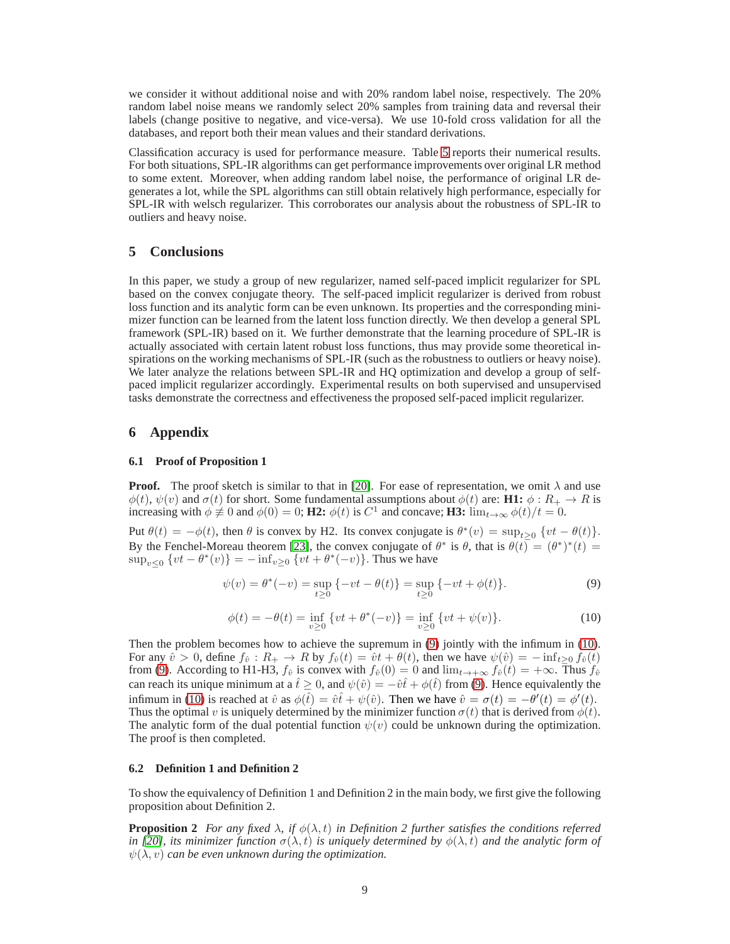we consider it without additional noise and with 20% random label noise, respectively. The 20% random label noise means we randomly select 20% samples from training data and reversal their labels (change positive to negative, and vice-versa). We use 10-fold cross validation for all the databases, and report both their mean values and their standard derivations.

Classification accuracy is used for performance measure. Table [5](#page-7-2) reports their numerical results. For both situations, SPL-IR algorithms can get performance improvements over original LR method to some extent. Moreover, when adding random label noise, the performance of original LR degenerates a lot, while the SPL algorithms can still obtain relatively high performance, especially for SPL-IR with welsch regularizer. This corroborates our analysis about the robustness of SPL-IR to outliers and heavy noise.

# **5 Conclusions**

In this paper, we study a group of new regularizer, named self-paced implicit regularizer for SPL based on the convex conjugate theory. The self-paced implicit regularizer is derived from robust loss function and its analytic form can be even unknown. Its properties and the corresponding minimizer function can be learned from the latent loss function directly. We then develop a general SPL framework (SPL-IR) based on it. We further demonstrate that the learning procedure of SPL-IR is actually associated with certain latent robust loss functions, thus may provide some theoretical inspirations on the working mechanisms of SPL-IR (such as the robustness to outliers or heavy noise). We later analyze the relations between SPL-IR and HQ optimization and develop a group of selfpaced implicit regularizer accordingly. Experimental results on both supervised and unsupervised tasks demonstrate the correctness and effectiveness the proposed self-paced implicit regularizer.

# **6 Appendix**

#### **6.1 Proof of Proposition 1**

**Proof.** The proof sketch is similar to that in [\[20\]](#page-11-22). For ease of representation, we omit  $\lambda$  and use  $\phi(t), \psi(v)$  and  $\sigma(t)$  for short. Some fundamental assumptions about  $\phi(t)$  are: **H1:**  $\phi: R_+ \to R$  is increasing with  $\phi \neq 0$  and  $\phi(0) = 0$ ; **H2:**  $\phi(t)$  is  $C^1$  and concave; **H3:**  $\lim_{t \to \infty} \phi(t)/t = 0$ .

Put  $\theta(t) = -\phi(t)$ , then  $\theta$  is convex by H2. Its convex conjugate is  $\theta^*(v) = \sup_{t\geq 0} \{vt - \theta(t)\}.$ By the Fenchel-Moreau theorem [\[23\]](#page-11-31), the convex conjugate of  $\theta^*$  is  $\theta$ , that is  $\theta(t) = (\theta^*)^*(t)$  $\sup_{v \leq 0} \{ vt - \theta^*(v) \} = -\inf_{v \geq 0} \{ vt + \theta^*(-v) \}.$  Thus we have

<span id="page-8-0"></span>
$$
\psi(v) = \theta^*(-v) = \sup_{t \ge 0} \{-vt - \theta(t)\} = \sup_{t \ge 0} \{-vt + \phi(t)\}.
$$
\n(9)

<span id="page-8-1"></span>
$$
\phi(t) = -\theta(t) = \inf_{v \ge 0} \{ vt + \theta^*(-v) \} = \inf_{v \ge 0} \{ vt + \psi(v) \}.
$$
 (10)

Then the problem becomes how to achieve the supremum in [\(9\)](#page-8-0) jointly with the infimum in [\(10\)](#page-8-1). For any  $\hat{v} > 0$ , define  $f_{\hat{v}} : R_+ \to R$  by  $f_{\hat{v}}(t) = \hat{v}t + \theta(t)$ , then we have  $\psi(\hat{v}) = -\inf_{t>0} f_{\hat{v}}(t)$ from [\(9\)](#page-8-0). According to H1-H3,  $f_{\hat{v}}$  is convex with  $f_{\hat{v}}(0) = 0$  and  $\lim_{t \to +\infty} f_{\hat{v}}(t) = +\infty$ . Thus  $f_{\hat{v}}$ can reach its unique minimum at a  $\hat{t} \geq 0$ , and  $\psi(\hat{v}) = -\hat{v}\hat{t} + \phi(\hat{t})$  from [\(9\)](#page-8-0). Hence equivalently the infimum in [\(10\)](#page-8-1) is reached at  $\hat{v}$  as  $\phi(\hat{t}) = \hat{v}\hat{t} + \psi(\hat{v})$ . Then we have  $\hat{v} = \sigma(t) = -\theta'(t) = \phi'(t)$ . Thus the optimal v is uniquely determined by the minimizer function  $\sigma(t)$  that is derived from  $\phi(t)$ . The analytic form of the dual potential function  $\psi(v)$  could be unknown during the optimization. The proof is then completed.

#### **6.2 Definition 1 and Definition 2**

To show the equivalency of Definition 1 and Definition 2 in the main body, we first give the following proposition about Definition 2.

**Proposition 2** *For any fixed*  $\lambda$ *, if*  $\phi(\lambda, t)$  *in Definition 2 further satisfies the conditions referred in [\[20\]](#page-11-22), its minimizer function*  $\sigma(\lambda, t)$  *is uniquely determined by*  $\phi(\lambda, t)$  *and the analytic form of*  $\psi(\lambda, v)$  *can be even unknown during the optimization.*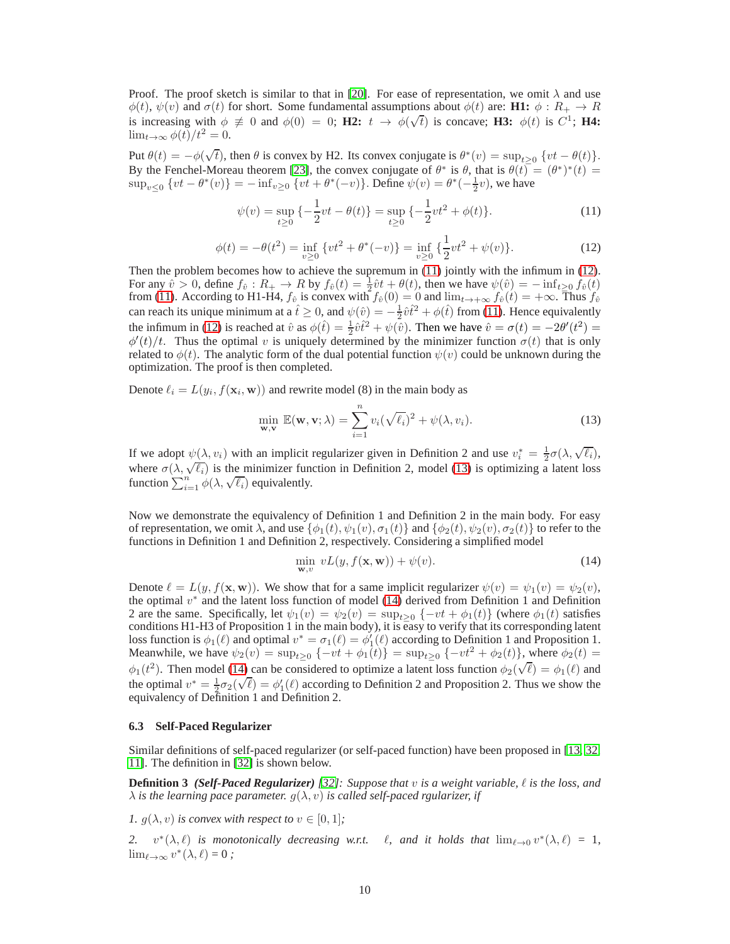Proof. The proof sketch is similar to that in [\[20\]](#page-11-22). For ease of representation, we omit  $\lambda$  and use  $\phi(t)$ ,  $\psi(v)$  and  $\sigma(t)$  for short. Some fundamental assumptions about  $\phi(t)$  are: **H1:**  $\phi: R_+ \to R$ is increasing with  $\phi \neq 0$  and  $\phi(0) = 0$ ; **H2:**  $t \to \phi(\sqrt{t})$  is concave; **H3:**  $\phi(t)$  is  $C^1$ ; **H4:**  $\lim_{t\to\infty}\phi(t)/t^2=0.$ 

Put  $\theta(t) = -\phi(\sqrt{t})$ , then  $\theta$  is convex by H2. Its convex conjugate is  $\theta^*(v) = \sup_{t \ge 0} \{ vt - \theta(t) \}.$ By the Fenchel-Moreau theorem [\[23\]](#page-11-31), the convex conjugate of  $\theta^*$  is  $\theta$ , that is  $\theta(t) = (\theta^*)^*(t)$  $\sup_{v\leq 0} \{vt - \theta^*(v)\} = -\inf_{v\geq 0} \{vt + \theta^*(-v)\}.$  Define  $\psi(v) = \theta^*(-\frac{1}{2}v)$ , we have

<span id="page-9-0"></span>
$$
\psi(v) = \sup_{t \ge 0} \left\{ -\frac{1}{2}vt - \theta(t) \right\} = \sup_{t \ge 0} \left\{ -\frac{1}{2}vt^2 + \phi(t) \right\}.
$$
 (11)

<span id="page-9-1"></span>
$$
\phi(t) = -\theta(t^2) = \inf_{v \ge 0} \{ vt^2 + \theta^*(-v) \} = \inf_{v \ge 0} \{ \frac{1}{2} vt^2 + \psi(v) \}. \tag{12}
$$

Then the problem becomes how to achieve the supremum in  $(11)$  jointly with the infimum in  $(12)$ . For any  $\hat{v} > 0$ , define  $f_{\hat{v}} : R_+ \to R$  by  $f_{\hat{v}}(t) = \frac{1}{2} \hat{v} t + \theta(t)$ , then we have  $\psi(\hat{v}) = -\inf_{t \geq 0} f_{\hat{v}}(t)$ from [\(11\)](#page-9-0). According to H1-H4,  $f_{\hat{v}}$  is convex with  $f_{\hat{v}}(0) = 0$  and  $\lim_{t \to +\infty} f_{\hat{v}}(t) = +\infty$ . Thus  $f_{\hat{v}}$ can reach its unique minimum at a  $\hat{t} \ge 0$ , and  $\psi(\hat{v}) = -\frac{1}{2}\hat{v}\hat{t}^2 + \phi(\hat{t})$  from [\(11\)](#page-9-0). Hence equivalently the infimum in [\(12\)](#page-9-1) is reached at  $\hat{v}$  as  $\phi(\hat{t}) = \frac{1}{2}\hat{v}\hat{t}^2 + \psi(\hat{v})$ . Then we have  $\hat{v} = \sigma(t) = -2\theta'(t^2) =$  $\phi'(t)/t$ . Thus the optimal v is uniquely determined by the minimizer function  $\sigma(t)$  that is only related to  $\phi(t)$ . The analytic form of the dual potential function  $\psi(v)$  could be unknown during the optimization. The proof is then completed.

Denote  $\ell_i = L(y_i, f(\mathbf{x}_i, \mathbf{w}))$  and rewrite model (8) in the main body as

<span id="page-9-2"></span>
$$
\min_{\mathbf{w}, \mathbf{v}} \mathbb{E}(\mathbf{w}, \mathbf{v}; \lambda) = \sum_{i=1}^{n} v_i (\sqrt{\ell_i})^2 + \psi(\lambda, v_i).
$$
 (13)

If we adopt  $\psi(\lambda, v_i)$  with an implicit regularizer given in Definition 2 and use  $v_i^* = \frac{1}{2}\sigma(\lambda, \sqrt{\ell_i})$ , where  $\sigma(\lambda, \sqrt{\ell_i})$  is the minimizer function in Definition 2, model [\(13\)](#page-9-2) is optimizing a latent loss function  $\sum_{i=1}^{n} \phi(\lambda, \sqrt{\ell_i})$  equivalently.

Now we demonstrate the equivalency of Definition 1 and Definition 2 in the main body. For easy of representation, we omit  $\lambda$ , and use  $\{\phi_1(t), \psi_1(v), \sigma_1(t)\}$  and  $\{\phi_2(t), \psi_2(v), \sigma_2(t)\}$  to refer to the functions in Definition 1 and Definition 2, respectively. Considering a simplified model

<span id="page-9-3"></span>
$$
\min_{\mathbf{w}, v} vL(y, f(\mathbf{x}, \mathbf{w})) + \psi(v). \tag{14}
$$

Denote  $\ell = L(y, f(\mathbf{x}, \mathbf{w}))$ . We show that for a same implicit regularizer  $\psi(v) = \psi_1(v) = \psi_2(v)$ , the optimal  $v^*$  and the latent loss function of model [\(14\)](#page-9-3) derived from Definition 1 and Definition 2 are the same. Specifically, let  $\psi_1(v) = \psi_2(v) = \sup_{t \geq 0} \{-vt + \phi_1(t)\}\$  (where  $\phi_1(t)$  satisfies conditions H1-H3 of Proposition 1 in the main body), it is easy to verify that its corresponding latent loss function is  $\phi_1(\ell)$  and optimal  $v^* = \sigma_1(\ell) = \phi'_1(\ell)$  according to Definition 1 and Proposition 1. Meanwhile, we have  $\psi_2(v) = \sup_{t \geq 0} \{-vt + \phi_1(t)\} = \sup_{t \geq 0} \{-vt^2 + \phi_2(t)\}$ , where  $\phi_2(t) =$  $\phi_1(t^2)$ . Then model [\(14\)](#page-9-3) can be considered to optimize a latent loss function  $\phi_2(\sqrt{\ell}) = \phi_1(\ell)$  and the optimal  $v^* = \frac{1}{2}\sigma_2(\sqrt{\ell}) = \phi'_1(\ell)$  according to Definition 2 and Proposition 2. Thus we show the equivalency of Definition 1 and Definition 2.

## **6.3 Self-Paced Regularizer**

Similar definitions of self-paced regularizer (or self-paced function) have been proposed in [\[13,](#page-11-4) [32,](#page-11-9) [11\]](#page-11-10). The definition in [\[32\]](#page-11-9) is shown below.

**Definition 3** *(Self-Paced Regularizer) [\[32\]](#page-11-9): Suppose that* v *is a weight variable,* ℓ *is the loss, and*  $\lambda$  *is the learning pace parameter.*  $g(\lambda, v)$  *is called self-paced rgularizer, if* 

*1.*  $g(\lambda, v)$  *is convex with respect to*  $v \in [0, 1]$ *;* 

2.  $v^*(\lambda, \ell)$  *is monotonically decreasing w.r.t.*  $\ell$ *, and it holds that*  $\lim_{\ell \to 0} v^*(\lambda, \ell) = 1$ *,*  $\lim_{\ell \to \infty} v^*(\lambda, \ell) = 0;$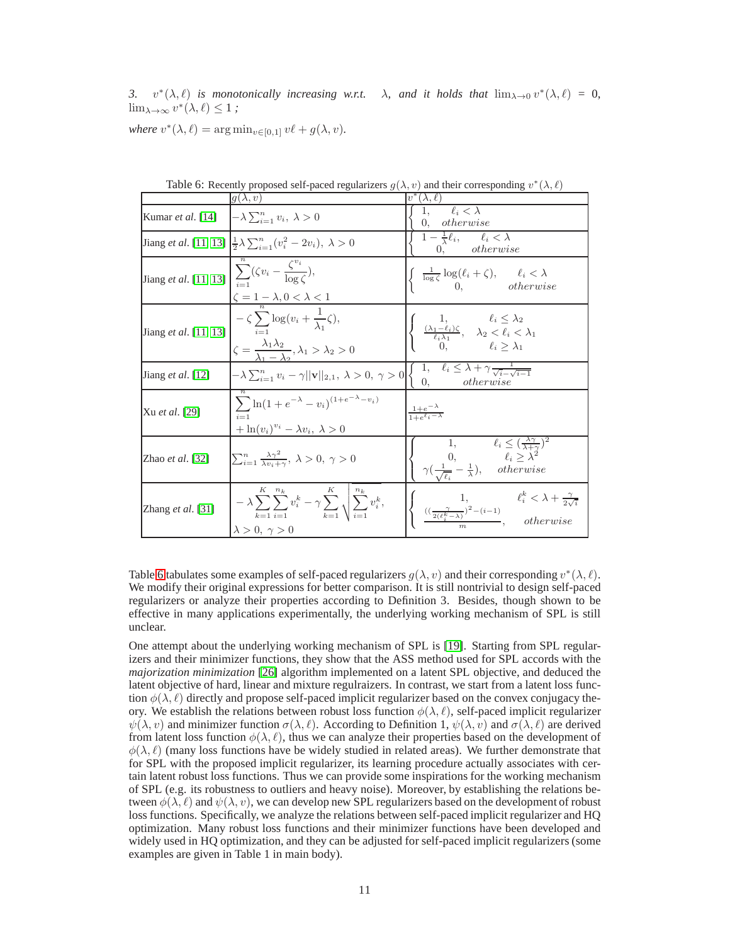3.  $v^*(\lambda, \ell)$  *is monotonically increasing w.r.t.*  $\lambda$ *, and it holds that*  $\lim_{\lambda \to 0} v^*(\lambda, \ell) = 0$ *,*  $\lim_{\lambda \to \infty} v^*(\lambda, \ell) \leq 1$ ;

*where*  $v^*(\lambda, \ell) = \arg \min_{v \in [0,1]} v\ell + g(\lambda, v)$ *.* 

|                                                                                                                          | $q(\lambda, v)$                                                                                                                                                                                                            | $v^*(\lambda, \ell)$                                                                                                                                                   |
|--------------------------------------------------------------------------------------------------------------------------|----------------------------------------------------------------------------------------------------------------------------------------------------------------------------------------------------------------------------|------------------------------------------------------------------------------------------------------------------------------------------------------------------------|
| Kumar <i>et al.</i> [14]                                                                                                 | $\left(-\lambda\sum_{i=1}^n v_i, \lambda\right) > 0$                                                                                                                                                                       | 1, $\ell_i < \overline{\lambda}$<br>$\theta$ .<br>otherwise                                                                                                            |
|                                                                                                                          | Jiang <i>et al.</i> [11, 13] $\frac{1}{2}\lambda \sum_{i=1}^{n} (v_i^2 - 2v_i), \lambda > 0$                                                                                                                               | $1-\frac{1}{\lambda}\ell_i, \qquad \ell_i < \lambda$<br>$0.$ otherwise                                                                                                 |
| $\left[\text{Jiang } et \text{ al. } [11, 13] \right] \sum_{i=1}^{\infty} (\zeta v_i - \frac{\zeta^{v_i}}{\log \zeta}),$ | $\zeta = 1 - \lambda, 0 < \lambda < 1$                                                                                                                                                                                     | $\begin{cases} \frac{1}{\log \zeta} \log(\ell_i + \zeta), & \ell_i < \lambda \\ 0, & otherwise \end{cases}$                                                            |
| Jiang <i>et al.</i> [11, 13]                                                                                             | $-\zeta \sum \log(v_i + \frac{1}{\lambda_i}\zeta),$<br>$\zeta = \frac{\lambda_1 \lambda_2}{\lambda_1 - \lambda_2}, \lambda_1 > \lambda_2 > 0$                                                                              | $\begin{cases} &1, &\ell_i \leq \lambda_2 \\ &\frac{(\lambda_1-\ell_i)\zeta}{\ell_i\lambda_1}, &\lambda_2 < \ell_i < \lambda_1 \\ &0, &\ell_i > \lambda_1 \end{cases}$ |
| Jiang <i>et al.</i> $[12]$                                                                                               | $\left -\lambda\sum_{i=1}^n v_i-\gamma  \mathbf{v}  _{2,1},\ \lambda>0,\ \gamma>0\right \left\{\begin{array}{ll}1, & \overline{\ell_i\leq\lambda+\gamma \frac{1}{\sqrt{i}-\sqrt{i-1}}}\\ 0, & otherwise\end{array}\right.$ |                                                                                                                                                                        |
| Xu <i>et al.</i> [29]                                                                                                    | $\sum \ln(1 + e^{-\lambda} - v_i)^{(1 + e^{-\lambda} - v_i)}$<br>$+\ln(v_i)^{v_i}-\lambda v_i, \lambda>0$                                                                                                                  | $\frac{1+e^{-\lambda}}{1+e^{\ell_i-\lambda}}$                                                                                                                          |
| Zhao <i>et al.</i> [32]                                                                                                  | $\sum_{i=1}^n \frac{\lambda \gamma^2}{\lambda v_i + \gamma}, \lambda > 0, \gamma > 0$                                                                                                                                      | 1, $\ell_i \leq (\frac{\lambda \gamma}{\lambda + \gamma})^2$<br>0, $\ell_i \geq \lambda^2$<br>$\gamma(\frac{1}{\sqrt{\ell_i}} - \frac{1}{\lambda})$ , otherwise        |
| Zhang <i>et al.</i> [31]                                                                                                 | $K \quad n_k$<br>K<br>$\label{eq:lambda} -\lambda \sum_{k=1} \sum_{i=1} v_i^k - \gamma \sum_{k=1} \sqrt{\sum_{i=1} v_i^k},$<br>$\lambda > 0, \gamma > 0$                                                                   | $\begin{cases}\n1, & \ell_i^k < \lambda + \frac{\gamma}{2\sqrt{i}} \\ \frac{((\frac{\gamma}{2(\ell_i^k - \lambda)})^2 - (i-1)}{m}, & otherwise\n\end{cases}$           |

<span id="page-10-0"></span>Table 6: Recently proposed self-paced regularizers  $g(\lambda, v)$  and their corresponding  $v^*(\lambda, \ell)$ 

Table [6](#page-10-0) tabulates some examples of self-paced regularizers  $g(\lambda, v)$  and their corresponding  $v^*(\lambda, \ell)$ . We modify their original expressions for better comparison. It is still nontrivial to design self-paced regularizers or analyze their properties according to Definition 3. Besides, though shown to be effective in many applications experimentally, the underlying working mechanism of SPL is still unclear.

One attempt about the underlying working mechanism of SPL is [\[19\]](#page-11-12). Starting from SPL regularizers and their minimizer functions, they show that the ASS method used for SPL accords with the *majorization minimization* [\[26\]](#page-11-13) algorithm implemented on a latent SPL objective, and deduced the latent objective of hard, linear and mixture regulraizers. In contrast, we start from a latent loss function  $\phi(\lambda, \ell)$  directly and propose self-paced implicit regularizer based on the convex conjugacy theory. We establish the relations between robust loss function  $\phi(\lambda, \ell)$ , self-paced implicit regularizer  $\psi(\lambda, v)$  and minimizer function  $\sigma(\lambda, \ell)$ . According to Definition 1,  $\psi(\lambda, v)$  and  $\sigma(\lambda, \ell)$  are derived from latent loss function  $\phi(\lambda, \ell)$ , thus we can analyze their properties based on the development of  $\phi(\lambda, \ell)$  (many loss functions have be widely studied in related areas). We further demonstrate that for SPL with the proposed implicit regularizer, its learning procedure actually associates with certain latent robust loss functions. Thus we can provide some inspirations for the working mechanism of SPL (e.g. its robustness to outliers and heavy noise). Moreover, by establishing the relations between  $\phi(\lambda, \ell)$  and  $\psi(\lambda, v)$ , we can develop new SPL regularizers based on the development of robust loss functions. Specifically, we analyze the relations between self-paced implicit regularizer and HQ optimization. Many robust loss functions and their minimizer functions have been developed and widely used in HQ optimization, and they can be adjusted for self-paced implicit regularizers (some examples are given in Table 1 in main body).